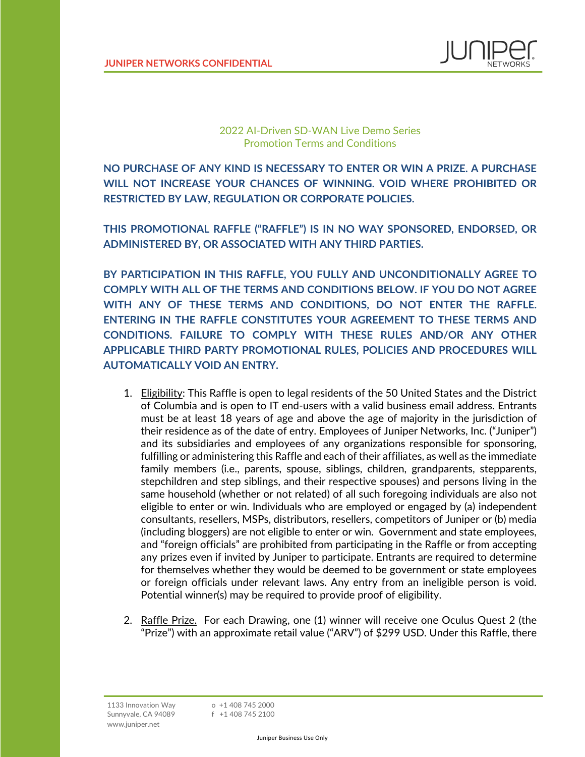

2022 AI-Driven SD-WAN Live Demo Series Promotion Terms and Conditions

**NO PURCHASE OF ANY KIND IS NECESSARY TO ENTER OR WIN A PRIZE. A PURCHASE WILL NOT INCREASE YOUR CHANCES OF WINNING. VOID WHERE PROHIBITED OR RESTRICTED BY LAW, REGULATION OR CORPORATE POLICIES.** 

**THIS PROMOTIONAL RAFFLE ("RAFFLE") IS IN NO WAY SPONSORED, ENDORSED, OR ADMINISTERED BY, OR ASSOCIATED WITH ANY THIRD PARTIES.**

**BY PARTICIPATION IN THIS RAFFLE, YOU FULLY AND UNCONDITIONALLY AGREE TO COMPLY WITH ALL OF THE TERMS AND CONDITIONS BELOW. IF YOU DO NOT AGREE WITH ANY OF THESE TERMS AND CONDITIONS, DO NOT ENTER THE RAFFLE. ENTERING IN THE RAFFLE CONSTITUTES YOUR AGREEMENT TO THESE TERMS AND CONDITIONS. FAILURE TO COMPLY WITH THESE RULES AND/OR ANY OTHER APPLICABLE THIRD PARTY PROMOTIONAL RULES, POLICIES AND PROCEDURES WILL AUTOMATICALLY VOID AN ENTRY.**

- 1. Eligibility: This Raffle is open to legal residents of the 50 United States and the District of Columbia and is open to IT end-users with a valid business email address. Entrants must be at least 18 years of age and above the age of majority in the jurisdiction of their residence as of the date of entry. Employees of Juniper Networks, Inc. ("Juniper") and its subsidiaries and employees of any organizations responsible for sponsoring, fulfilling or administering this Raffle and each of their affiliates, as well as the immediate family members (i.e., parents, spouse, siblings, children, grandparents, stepparents, stepchildren and step siblings, and their respective spouses) and persons living in the same household (whether or not related) of all such foregoing individuals are also not eligible to enter or win. Individuals who are employed or engaged by (a) independent consultants, resellers, MSPs, distributors, resellers, competitors of Juniper or (b) media (including bloggers) are not eligible to enter or win. Government and state employees, and "foreign officials" are prohibited from participating in the Raffle or from accepting any prizes even if invited by Juniper to participate. Entrants are required to determine for themselves whether they would be deemed to be government or state employees or foreign officials under relevant laws. Any entry from an ineligible person is void. Potential winner(s) may be required to provide proof of eligibility.
- 2. Raffle Prize. For each Drawing, one (1) winner will receive one Oculus Quest 2 (the "Prize") with an approximate retail value ("ARV") of \$299 USD. Under this Raffle, there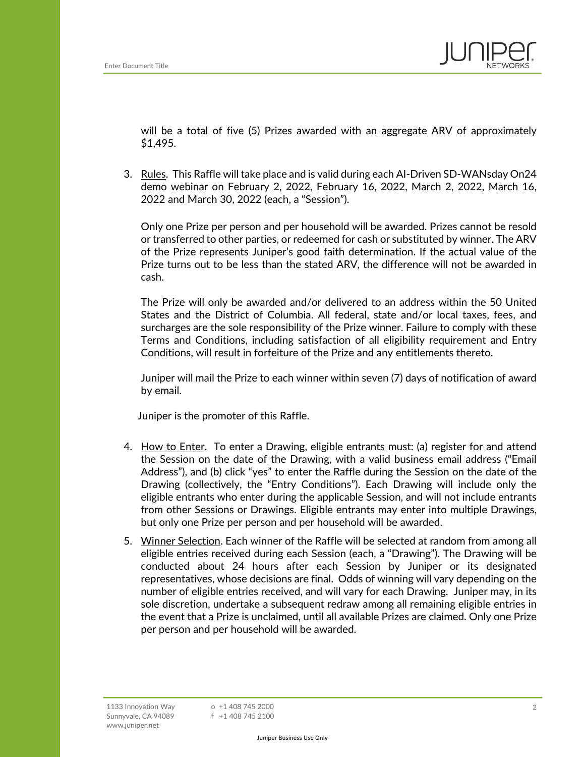

will be a total of five (5) Prizes awarded with an aggregate ARV of approximately \$1,495.

3. Rules. This Raffle will take place and is valid during each AI-Driven SD-WANsday On24 demo webinar on February 2, 2022, February 16, 2022, March 2, 2022, March 16, 2022 and March 30, 2022 (each, a "Session").

Only one Prize per person and per household will be awarded. Prizes cannot be resold or transferred to other parties, or redeemed for cash or substituted by winner. The ARV of the Prize represents Juniper's good faith determination. If the actual value of the Prize turns out to be less than the stated ARV, the difference will not be awarded in cash.

The Prize will only be awarded and/or delivered to an address within the 50 United States and the District of Columbia. All federal, state and/or local taxes, fees, and surcharges are the sole responsibility of the Prize winner. Failure to comply with these Terms and Conditions, including satisfaction of all eligibility requirement and Entry Conditions, will result in forfeiture of the Prize and any entitlements thereto.

Juniper will mail the Prize to each winner within seven (7) days of notification of award by email.

Juniper is the promoter of this Raffle.

- 4. How to Enter. To enter a Drawing, eligible entrants must: (a) register for and attend the Session on the date of the Drawing, with a valid business email address ("Email Address"), and (b) click "yes" to enter the Raffle during the Session on the date of the Drawing (collectively, the "Entry Conditions"). Each Drawing will include only the eligible entrants who enter during the applicable Session, and will not include entrants from other Sessions or Drawings. Eligible entrants may enter into multiple Drawings, but only one Prize per person and per household will be awarded.
- 5. Winner Selection. Each winner of the Raffle will be selected at random from among all eligible entries received during each Session (each, a "Drawing"). The Drawing will be conducted about 24 hours after each Session by Juniper or its designated representatives, whose decisions are final. Odds of winning will vary depending on the number of eligible entries received, and will vary for each Drawing. Juniper may, in its sole discretion, undertake a subsequent redraw among all remaining eligible entries in the event that a Prize is unclaimed, until all available Prizes are claimed. Only one Prize per person and per household will be awarded.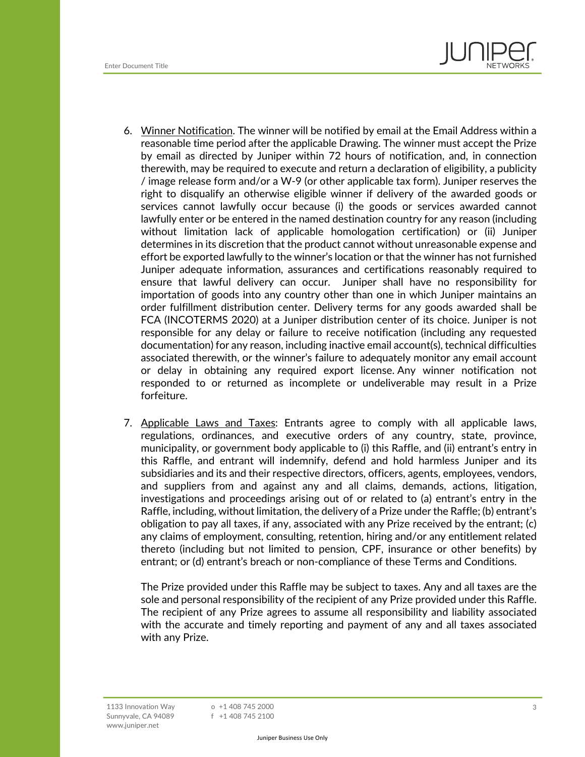

- 6. Winner Notification. The winner will be notified by email at the Email Address within a reasonable time period after the applicable Drawing. The winner must accept the Prize by email as directed by Juniper within 72 hours of notification, and, in connection therewith, may be required to execute and return a declaration of eligibility, a publicity / image release form and/or a W-9 (or other applicable tax form). Juniper reserves the right to disqualify an otherwise eligible winner if delivery of the awarded goods or services cannot lawfully occur because (i) the goods or services awarded cannot lawfully enter or be entered in the named destination country for any reason (including without limitation lack of applicable homologation certification) or (ii) Juniper determines in its discretion that the product cannot without unreasonable expense and effort be exported lawfully to the winner's location or that the winner has not furnished Juniper adequate information, assurances and certifications reasonably required to ensure that lawful delivery can occur. Juniper shall have no responsibility for importation of goods into any country other than one in which Juniper maintains an order fulfillment distribution center. Delivery terms for any goods awarded shall be FCA (INCOTERMS 2020) at a Juniper distribution center of its choice. Juniper is not responsible for any delay or failure to receive notification (including any requested documentation) for any reason, including inactive email account(s), technical difficulties associated therewith, or the winner's failure to adequately monitor any email account or delay in obtaining any required export license. Any winner notification not responded to or returned as incomplete or undeliverable may result in a Prize forfeiture.
- 7. Applicable Laws and Taxes: Entrants agree to comply with all applicable laws, regulations, ordinances, and executive orders of any country, state, province, municipality, or government body applicable to (i) this Raffle, and (ii) entrant's entry in this Raffle, and entrant will indemnify, defend and hold harmless Juniper and its subsidiaries and its and their respective directors, officers, agents, employees, vendors, and suppliers from and against any and all claims, demands, actions, litigation, investigations and proceedings arising out of or related to (a) entrant's entry in the Raffle, including, without limitation, the delivery of a Prize under the Raffle; (b) entrant's obligation to pay all taxes, if any, associated with any Prize received by the entrant; (c) any claims of employment, consulting, retention, hiring and/or any entitlement related thereto (including but not limited to pension, CPF, insurance or other benefits) by entrant; or (d) entrant's breach or non-compliance of these Terms and Conditions.

The Prize provided under this Raffle may be subject to taxes. Any and all taxes are the sole and personal responsibility of the recipient of any Prize provided under this Raffle. The recipient of any Prize agrees to assume all responsibility and liability associated with the accurate and timely reporting and payment of any and all taxes associated with any Prize.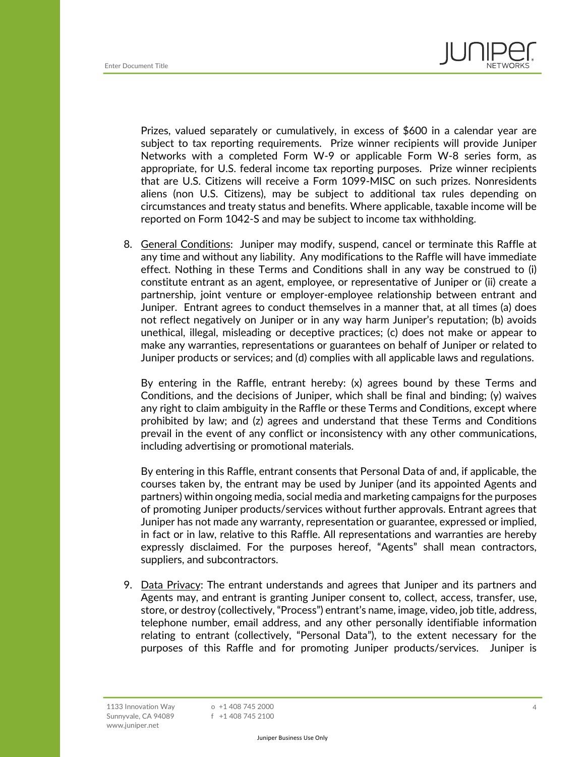

Prizes, valued separately or cumulatively, in excess of \$600 in a calendar year are subject to tax reporting requirements. Prize winner recipients will provide Juniper Networks with a completed Form W-9 or applicable Form W-8 series form, as appropriate, for U.S. federal income tax reporting purposes. Prize winner recipients that are U.S. Citizens will receive a Form 1099-MISC on such prizes. Nonresidents aliens (non U.S. Citizens), may be subject to additional tax rules depending on circumstances and treaty status and benefits. Where applicable, taxable income will be reported on Form 1042-S and may be subject to income tax withholding.

8. General Conditions: Juniper may modify, suspend, cancel or terminate this Raffle at any time and without any liability. Any modifications to the Raffle will have immediate effect. Nothing in these Terms and Conditions shall in any way be construed to (i) constitute entrant as an agent, employee, or representative of Juniper or (ii) create a partnership, joint venture or employer-employee relationship between entrant and Juniper. Entrant agrees to conduct themselves in a manner that, at all times (a) does not reflect negatively on Juniper or in any way harm Juniper's reputation; (b) avoids unethical, illegal, misleading or deceptive practices; (c) does not make or appear to make any warranties, representations or guarantees on behalf of Juniper or related to Juniper products or services; and (d) complies with all applicable laws and regulations.

By entering in the Raffle, entrant hereby: (x) agrees bound by these Terms and Conditions, and the decisions of Juniper, which shall be final and binding; (y) waives any right to claim ambiguity in the Raffle or these Terms and Conditions, except where prohibited by law; and (z) agrees and understand that these Terms and Conditions prevail in the event of any conflict or inconsistency with any other communications, including advertising or promotional materials.

By entering in this Raffle, entrant consents that Personal Data of and, if applicable, the courses taken by, the entrant may be used by Juniper (and its appointed Agents and partners) within ongoing media, social media and marketing campaigns for the purposes of promoting Juniper products/services without further approvals. Entrant agrees that Juniper has not made any warranty, representation or guarantee, expressed or implied, in fact or in law, relative to this Raffle. All representations and warranties are hereby expressly disclaimed. For the purposes hereof, "Agents" shall mean contractors, suppliers, and subcontractors.

9. Data Privacy: The entrant understands and agrees that Juniper and its partners and Agents may, and entrant is granting Juniper consent to, collect, access, transfer, use, store, or destroy (collectively, "Process") entrant's name, image, video, job title, address, telephone number, email address, and any other personally identifiable information relating to entrant (collectively, "Personal Data"), to the extent necessary for the purposes of this Raffle and for promoting Juniper products/services. Juniper is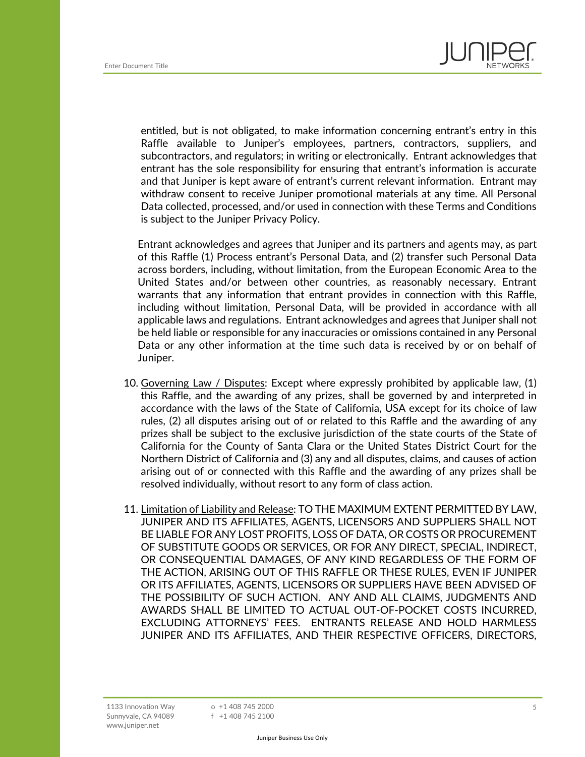

entitled, but is not obligated, to make information concerning entrant's entry in this Raffle available to Juniper's employees, partners, contractors, suppliers, and subcontractors, and regulators; in writing or electronically. Entrant acknowledges that entrant has the sole responsibility for ensuring that entrant's information is accurate and that Juniper is kept aware of entrant's current relevant information. Entrant may withdraw consent to receive Juniper promotional materials at any time. All Personal Data collected, processed, and/or used in connection with these Terms and Conditions is subject to the Juniper Privacy Policy.

Entrant acknowledges and agrees that Juniper and its partners and agents may, as part of this Raffle (1) Process entrant's Personal Data, and (2) transfer such Personal Data across borders, including, without limitation, from the European Economic Area to the United States and/or between other countries, as reasonably necessary. Entrant warrants that any information that entrant provides in connection with this Raffle, including without limitation, Personal Data, will be provided in accordance with all applicable laws and regulations. Entrant acknowledges and agrees that Juniper shall not be held liable or responsible for any inaccuracies or omissions contained in any Personal Data or any other information at the time such data is received by or on behalf of Juniper.

- 10. Governing Law / Disputes: Except where expressly prohibited by applicable law, (1) this Raffle, and the awarding of any prizes, shall be governed by and interpreted in accordance with the laws of the State of California, USA except for its choice of law rules, (2) all disputes arising out of or related to this Raffle and the awarding of any prizes shall be subject to the exclusive jurisdiction of the state courts of the State of California for the County of Santa Clara or the United States District Court for the Northern District of California and (3) any and all disputes, claims, and causes of action arising out of or connected with this Raffle and the awarding of any prizes shall be resolved individually, without resort to any form of class action.
- 11. Limitation of Liability and Release: TO THE MAXIMUM EXTENT PERMITTED BY LAW, JUNIPER AND ITS AFFILIATES, AGENTS, LICENSORS AND SUPPLIERS SHALL NOT BE LIABLE FOR ANY LOST PROFITS, LOSS OF DATA, OR COSTS OR PROCUREMENT OF SUBSTITUTE GOODS OR SERVICES, OR FOR ANY DIRECT, SPECIAL, INDIRECT, OR CONSEQUENTIAL DAMAGES, OF ANY KIND REGARDLESS OF THE FORM OF THE ACTION, ARISING OUT OF THIS RAFFLE OR THESE RULES, EVEN IF JUNIPER OR ITS AFFILIATES, AGENTS, LICENSORS OR SUPPLIERS HAVE BEEN ADVISED OF THE POSSIBILITY OF SUCH ACTION. ANY AND ALL CLAIMS, JUDGMENTS AND AWARDS SHALL BE LIMITED TO ACTUAL OUT-OF-POCKET COSTS INCURRED, EXCLUDING ATTORNEYS' FEES. ENTRANTS RELEASE AND HOLD HARMLESS JUNIPER AND ITS AFFILIATES, AND THEIR RESPECTIVE OFFICERS, DIRECTORS,